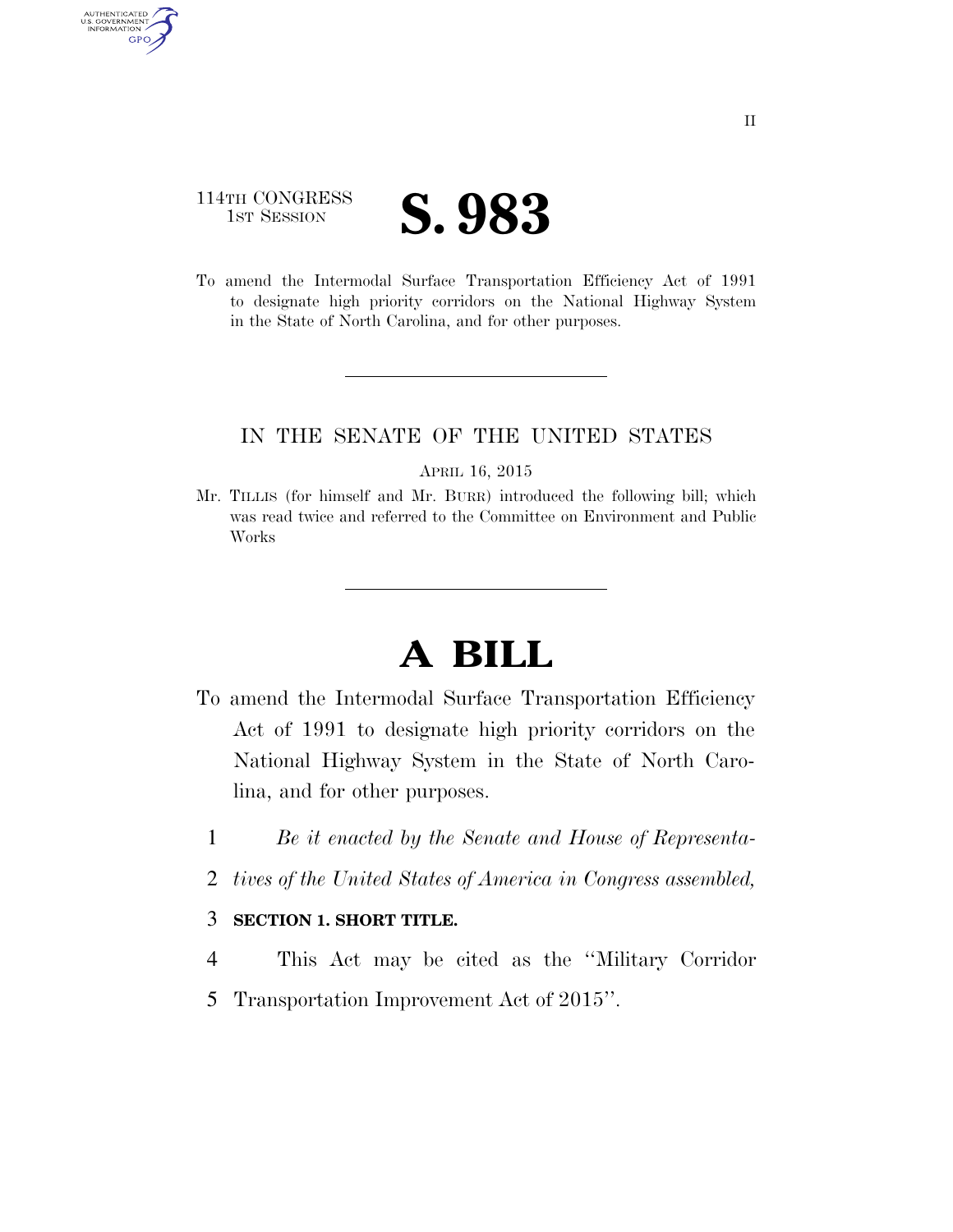# 114TH CONGRESS **IST SESSION S. 983**

AUTHENTICATED<br>U.S. GOVERNMENT<br>INFORMATION

**GPO** 

To amend the Intermodal Surface Transportation Efficiency Act of 1991 to designate high priority corridors on the National Highway System in the State of North Carolina, and for other purposes.

## IN THE SENATE OF THE UNITED STATES

#### APRIL 16, 2015

Mr. TILLIS (for himself and Mr. BURR) introduced the following bill; which was read twice and referred to the Committee on Environment and Public Works

# **A BILL**

- To amend the Intermodal Surface Transportation Efficiency Act of 1991 to designate high priority corridors on the National Highway System in the State of North Carolina, and for other purposes.
	- 1 *Be it enacted by the Senate and House of Representa-*
	- 2 *tives of the United States of America in Congress assembled,*

### 3 **SECTION 1. SHORT TITLE.**

- 4 This Act may be cited as the ''Military Corridor
- 5 Transportation Improvement Act of 2015''.